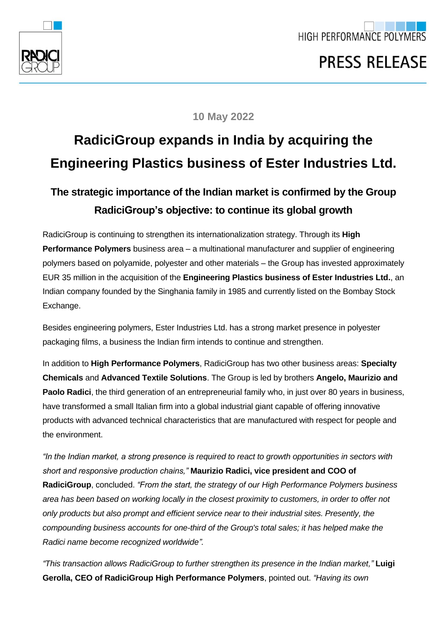

## **10 May 2022**

## **RadiciGroup expands in India by acquiring the Engineering Plastics business of Ester Industries Ltd.**

## **The strategic importance of the Indian market is confirmed by the Group RadiciGroup's objective: to continue its global growth**

RadiciGroup is continuing to strengthen its internationalization strategy. Through its **High Performance Polymers** business area – a multinational manufacturer and supplier of engineering polymers based on polyamide, polyester and other materials – the Group has invested approximately EUR 35 million in the acquisition of the **Engineering Plastics business of Ester Industries Ltd.**, an Indian company founded by the Singhania family in 1985 and currently listed on the Bombay Stock Exchange.

Besides engineering polymers, Ester Industries Ltd. has a strong market presence in polyester packaging films, a business the Indian firm intends to continue and strengthen.

In addition to **High Performance Polymers**, RadiciGroup has two other business areas: **Specialty Chemicals** and **Advanced Textile Solutions**. The Group is led by brothers **Angelo, Maurizio and Paolo Radici**, the third generation of an entrepreneurial family who, in just over 80 years in business, have transformed a small Italian firm into a global industrial giant capable of offering innovative products with advanced technical characteristics that are manufactured with respect for people and the environment.

*"In the Indian market, a strong presence is required to react to growth opportunities in sectors with short and responsive production chains,"* **Maurizio Radici, vice president and COO of RadiciGroup**, concluded. *"From the start, the strategy of our High Performance Polymers business area has been based on working locally in the closest proximity to customers, in order to offer not only products but also prompt and efficient service near to their industrial sites. Presently, the compounding business accounts for one-third of the Group's total sales; it has helped make the Radici name become recognized worldwide".*

*"This transaction allows RadiciGroup to further strengthen its presence in the Indian market,"* **Luigi Gerolla, CEO of RadiciGroup High Performance Polymers**, pointed out. *"Having its own*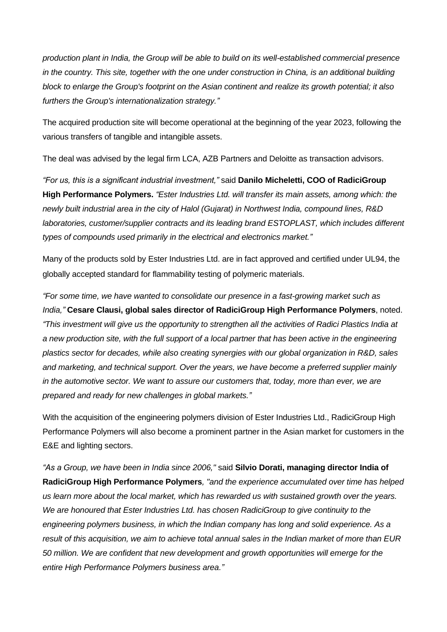*production plant in India, the Group will be able to build on its well-established commercial presence in the country. This site, together with the one under construction in China, is an additional building block to enlarge the Group's footprint on the Asian continent and realize its growth potential; it also furthers the Group's internationalization strategy."*

The acquired production site will become operational at the beginning of the year 2023, following the various transfers of tangible and intangible assets.

The deal was advised by the legal firm LCA, AZB Partners and Deloitte as transaction advisors.

*"For us, this is a significant industrial investment,"* said **Danilo Micheletti, COO of RadiciGroup High Performance Polymers.** *"Ester Industries Ltd. will transfer its main assets, among which: the newly built industrial area in the city of Halol (Gujarat) in Northwest India, compound lines, R&D laboratories, customer/supplier contracts and its leading brand ESTOPLAST, which includes different types of compounds used primarily in the electrical and electronics market."*

Many of the products sold by Ester Industries Ltd. are in fact approved and certified under UL94, the globally accepted standard for flammability testing of polymeric materials.

*"For some time, we have wanted to consolidate our presence in a fast-growing market such as India,"* **Cesare Clausi, global sales director of RadiciGroup High Performance Polymers**, noted. *"This investment will give us the opportunity to strengthen all the activities of Radici Plastics India at a new production site, with the full support of a local partner that has been active in the engineering plastics sector for decades, while also creating synergies with our global organization in R&D, sales and marketing, and technical support. Over the years, we have become a preferred supplier mainly in the automotive sector. We want to assure our customers that, today, more than ever, we are prepared and ready for new challenges in global markets."*

With the acquisition of the engineering polymers division of Ester Industries Ltd., RadiciGroup High Performance Polymers will also become a prominent partner in the Asian market for customers in the E&E and lighting sectors.

*"As a Group, we have been in India since 2006,"* said **Silvio Dorati, managing director India of RadiciGroup High Performance Polymers***, "and the experience accumulated over time has helped us learn more about the local market, which has rewarded us with sustained growth over the years. We are honoured that Ester Industries Ltd. has chosen RadiciGroup to give continuity to the engineering polymers business, in which the Indian company has long and solid experience. As a result of this acquisition, we aim to achieve total annual sales in the Indian market of more than EUR 50 million. We are confident that new development and growth opportunities will emerge for the entire High Performance Polymers business area."*